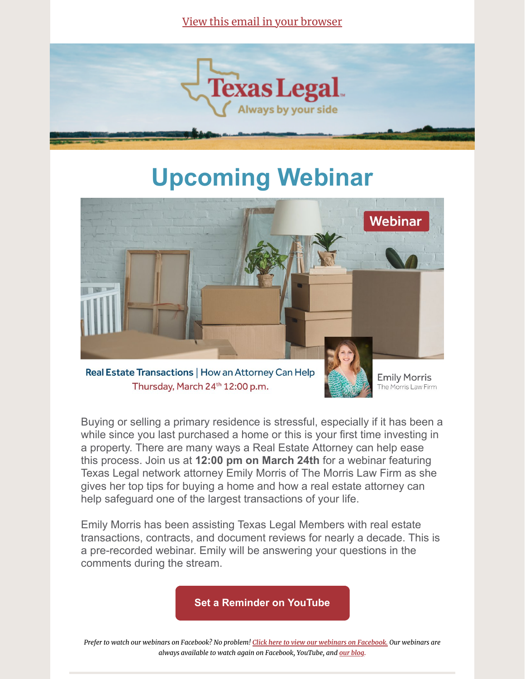View this email in your [browser](https://mailchi.mp/871fbc066f44/buying-or-selling-a-house-texas-legal-can-help-6179641?e=[UNIQID])



## **Upcoming Webinar**



Real Estate Transactions | How an Attorney Can Help Thursday, March 24th 12:00 p.m.



**Emily Morris** The Morris Law Firm

Buying or selling a primary residence is stressful, especially if it has been a while since you last purchased a home or this is your first time investing in a property. There are many ways a Real Estate Attorney can help ease this process. Join us at **12:00 pm on March 24th** for a webinar featuring Texas Legal network attorney Emily Morris of The Morris Law Firm as she gives her top tips for buying a home and how a real estate attorney can help safeguard one of the largest transactions of your life.

Emily Morris has been assisting Texas Legal Members with real estate transactions, contracts, and document reviews for nearly a decade. This is a pre-recorded webinar. Emily will be answering your questions in the comments during the stream.

**[Set a Reminder on YouTube](https://youtu.be/cVd1WpuIdho)**

Prefer to watch our webinars on Facebook? No problem! Click here to view our webinars on [Facebook.](https://www.facebook.com/TexasLegalTL/) Our webinars are *always available to watch again on Facebook, YouTube, and our [blog](https://texaslegal.org/about-us/blog).*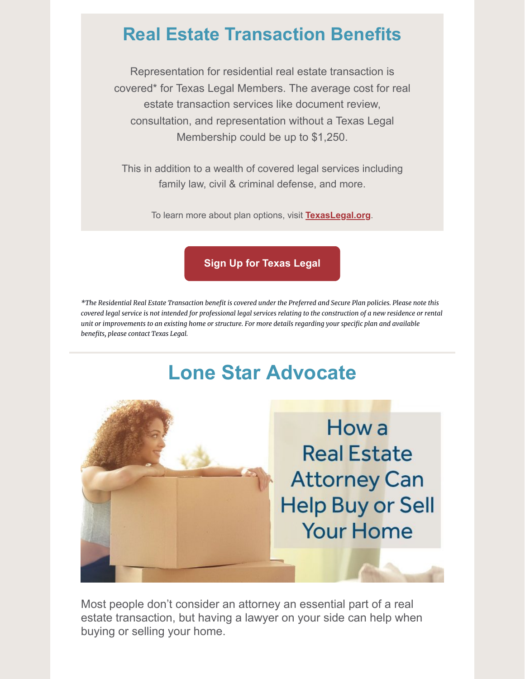## **Real Estate Transaction Benefits**

Representation for residential real estate transaction is covered\* for Texas Legal Members. The average cost for real estate transaction services like document review, consultation, and representation without a Texas Legal Membership could be up to \$1,250.

This in addition to a wealth of covered legal services including family law, civil & criminal defense, and more.

To learn more about plan options, visit **[TexasLegal.org](https://texaslegal.org/?utm_source=mailchimp&utm_medium=member&utm_id=sept)**.

**[Sign Up for Texas Legal](https://texaslegal.org/join)**

\*The Residential Real Estate Transaction benefit is covered under the Preferred and Secure Plan policies. Please note this covered legal service is not intended for professional legal services relating to the construction of a new residence or rental unit or improvements to an existing home or structure. For more details regarding your specific plan and available *benefits, please contact Texas Legal.*

## **Lone Star Advocate**



Most people don't consider an attorney an essential part of a real estate transaction, but having a lawyer on your side can help when buying or selling your home.